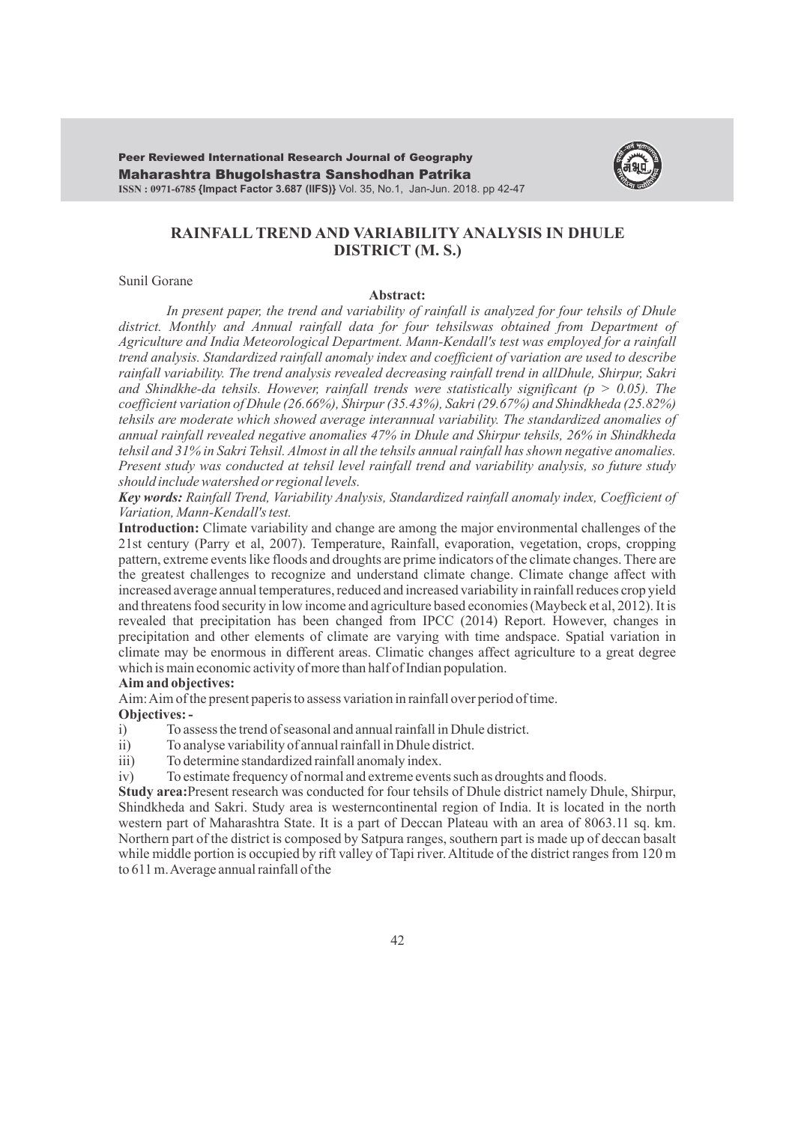Maharashtra Bhugolshastra Sanshodhan Patrika **ISSN : 0971-6785 {Impact Factor 3.687 (IIFS)}** Vol. 35, No.1, Jan-Jun. 2018. pp 42-47 Peer Reviewed International Research Journal of Geography



# **RAINFALL TREND AND VARIABILITY ANALYSIS IN DHULE DISTRICT (M. S.)**

### Sunil Gorane

#### **Abstract:**

*In present paper, the trend and variability of rainfall is analyzed for four tehsils of Dhule*  district. Monthly and Annual rainfall data for four tehsilswas obtained from Department of *Agriculture and India Meteorological Department. Mann-Kendall's test was employed for a rainfall trend analysis. Standardized rainfall anomaly index and coefficient of variation are used to describe rainfall variability. The trend analysis revealed decreasing rainfall trend in allDhule, Shirpur, Sakri*  and Shindkhe-da tehsils. However, rainfall trends were statistically significant ( $p > 0.05$ ). The *coefficient variation of Dhule (26.66%), Shirpur (35.43%), Sakri (29.67%) and Shindkheda (25.82%) tehsils are moderate which showed average interannual variability. The standardized anomalies of annual rainfall revealed negative anomalies 47% in Dhule and Shirpur tehsils, 26% in Shindkheda tehsil and 31% in Sakri Tehsil. Almost in all the tehsils annual rainfall has shown negative anomalies. Present study was conducted at tehsil level rainfall trend and variability analysis, so future study should include watershed or regional levels.*

*Key words: Rainfall Trend, Variability Analysis, Standardized rainfall anomaly index, Coefficient of Variation, Mann-Kendall's test.*

**Introduction:** Climate variability and change are among the major environmental challenges of the 21st century (Parry et al, 2007). Temperature, Rainfall, evaporation, vegetation, crops, cropping pattern, extreme events like floods and droughts are prime indicators of the climate changes. There are the greatest challenges to recognize and understand climate change. Climate change affect with increased average annual temperatures, reduced and increased variability in rainfall reduces crop yield and threatens food security in low income and agriculture based economies (Maybeck et al, 2012). It is revealed that precipitation has been changed from IPCC (2014) Report. However, changes in precipitation and other elements of climate are varying with time andspace. Spatial variation in climate may be enormous in different areas. Climatic changes affect agriculture to a great degree which is main economic activity of more than half of Indian population.

# **Aim and objectives:**

Aim: Aim of the present paperis to assess variation in rainfall over period of time. **Objectives: -** 

- i) To assess the trend of seasonal and annual rainfall in Dhule district.
- ii) To analyse variability of annual rainfall in Dhule district.
- iii) To determine standardized rainfall anomaly index.
- iv) To estimate frequency of normal and extreme events such as droughts and floods.

**Study area:**Present research was conducted for four tehsils of Dhule district namely Dhule, Shirpur, Shindkheda and Sakri. Study area is westerncontinental region of India. It is located in the north western part of Maharashtra State. It is a part of Deccan Plateau with an area of 8063.11 sq. km. Northern part of the district is composed by Satpura ranges, southern part is made up of deccan basalt while middle portion is occupied by rift valley of Tapi river. Altitude of the district ranges from 120 m to 611 m. Average annual rainfall of the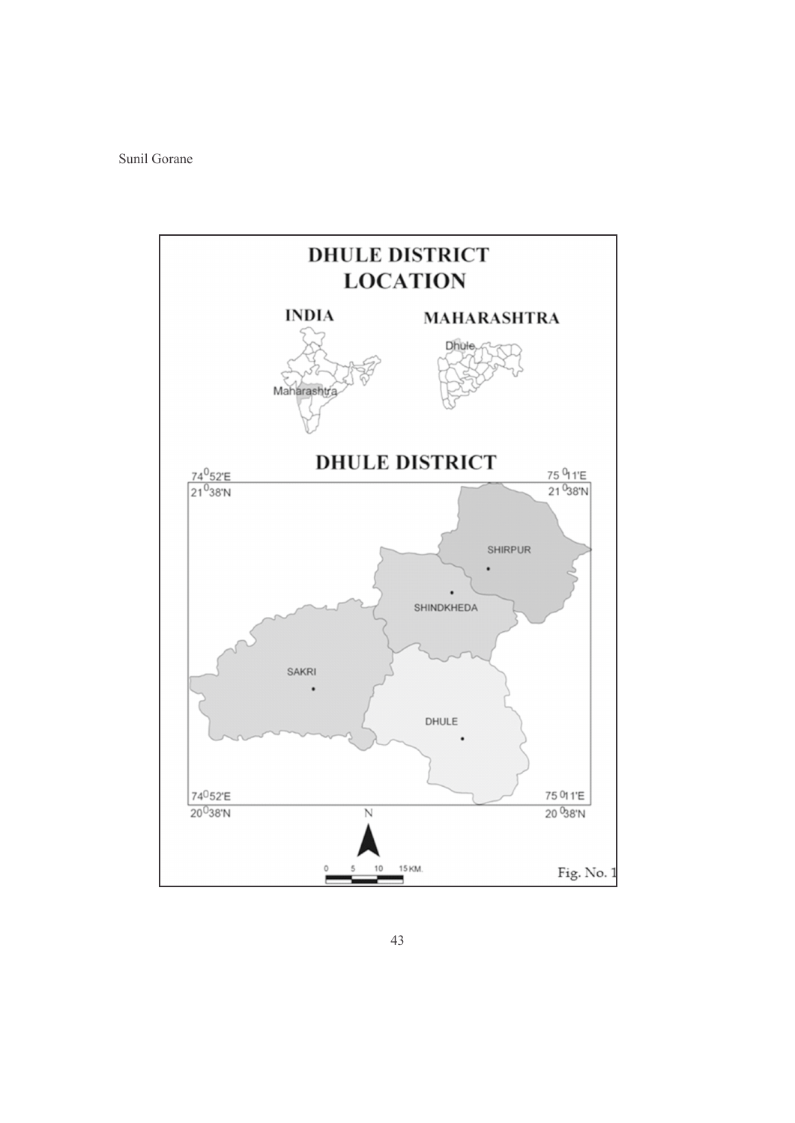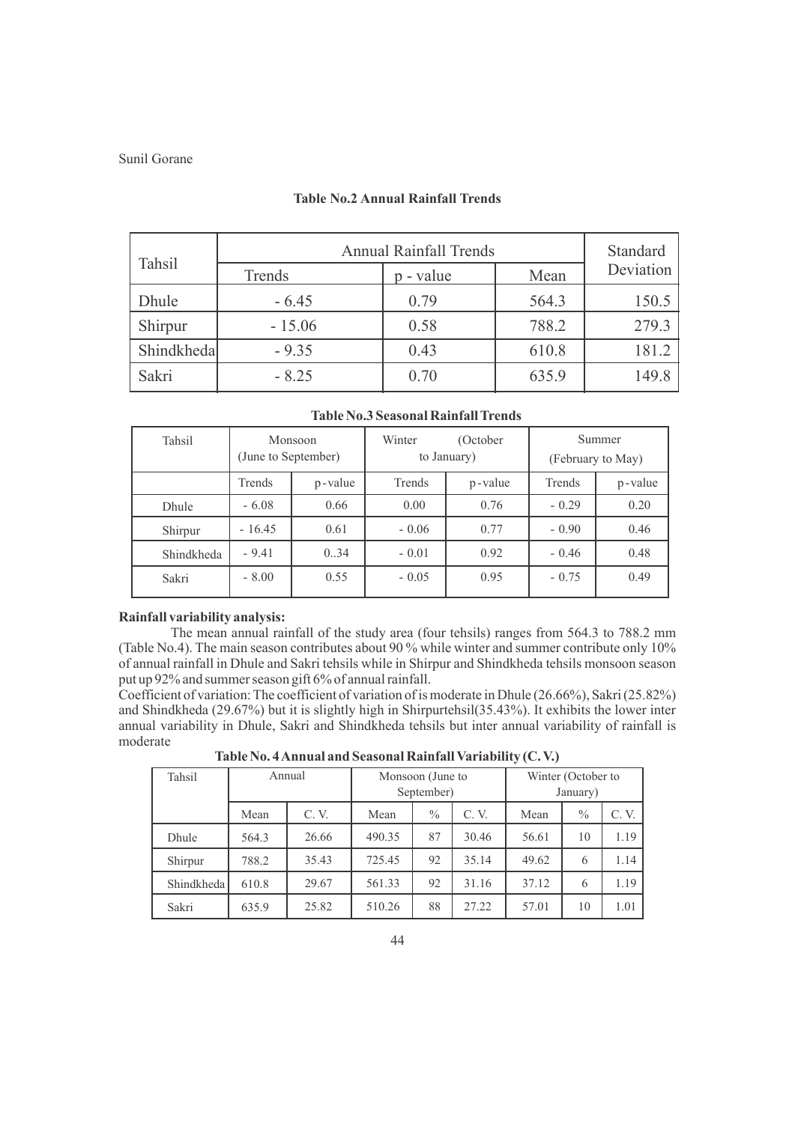| Tahsil     | <b>Annual Rainfall Trends</b> | Standard  |       |           |  |
|------------|-------------------------------|-----------|-------|-----------|--|
|            | Trends                        | p - value | Mean  | Deviation |  |
| Dhule      | $-6.45$                       | 0.79      | 564.3 | 150.5     |  |
| Shirpur    | $-15.06$                      | 0.58      | 788.2 | 279.3     |  |
| Shindkheda | $-9.35$                       | 0.43      | 610.8 | 181.2     |  |
| Sakri      | $-8.25$                       | 0.70      | 635.9 | 149.8     |  |

# **Table No.2 Annual Rainfall Trends**

| Tahsil     | Monsoon<br>(June to September) |         | Winter<br>(October<br>to January) |         | Summer<br>(February to May) |         |  |
|------------|--------------------------------|---------|-----------------------------------|---------|-----------------------------|---------|--|
|            | Trends                         | p-value | Trends                            | p-value | Trends                      | p-value |  |
| Dhule      | $-6.08$<br>0.66                |         | 0.00                              | 0.76    | $-0.29$                     | 0.20    |  |
| Shirpur    | $-16.45$                       | 0.61    | $-0.06$                           | 0.77    | $-0.90$                     | 0.46    |  |
| Shindkheda | $-9.41$                        | 0.34    | $-0.01$                           | 0.92    | $-0.46$                     | 0.48    |  |
| Sakri      | $-8.00$                        | 0.55    | $-0.05$                           | 0.95    | $-0.75$                     | 0.49    |  |

## **Table No.3 Seasonal Rainfall Trends**

#### **Rainfall variability analysis:**

The mean annual rainfall of the study area (four tehsils) ranges from 564.3 to 788.2 mm (Table No.4). The main season contributes about 90 % while winter and summer contribute only 10% of annual rainfall in Dhule and Sakri tehsils while in Shirpur and Shindkheda tehsils monsoon season put up 92% and summer season gift 6% of annual rainfall.

Coefficient of variation: The coefficient of variation of is moderate in Dhule (26.66%), Sakri (25.82%) and Shindkheda (29.67%) but it is slightly high in Shirpurtehsil(35.43%). It exhibits the lower inter annual variability in Dhule, Sakri and Shindkheda tehsils but inter annual variability of rainfall is moderate

| Table No. 4 Annual and Seasonal Rainfall Variability (C.V.) |  |
|-------------------------------------------------------------|--|
|-------------------------------------------------------------|--|

| Tahsil     | Annual |       | Monsoon (June to<br>September) |    |       | Winter (October to<br>January) |      |      |
|------------|--------|-------|--------------------------------|----|-------|--------------------------------|------|------|
|            | Mean   | C.V.  | $\frac{0}{0}$<br>C.V.<br>Mean  |    |       | Mean                           | $\%$ | C.V. |
| Dhule      | 564.3  | 26.66 | 490.35                         | 87 | 30.46 | 56.61                          | 10   | 1.19 |
| Shirpur    | 788.2  | 35.43 | 725.45                         | 92 | 35.14 | 49.62                          | 6    | 1.14 |
| Shindkheda | 610.8  | 29.67 | 561.33                         | 92 | 31.16 | 37.12                          | 6    | 1.19 |
| Sakri      | 635.9  | 25.82 | 510.26                         | 88 | 27.22 | 57.01                          | 10   | 1.01 |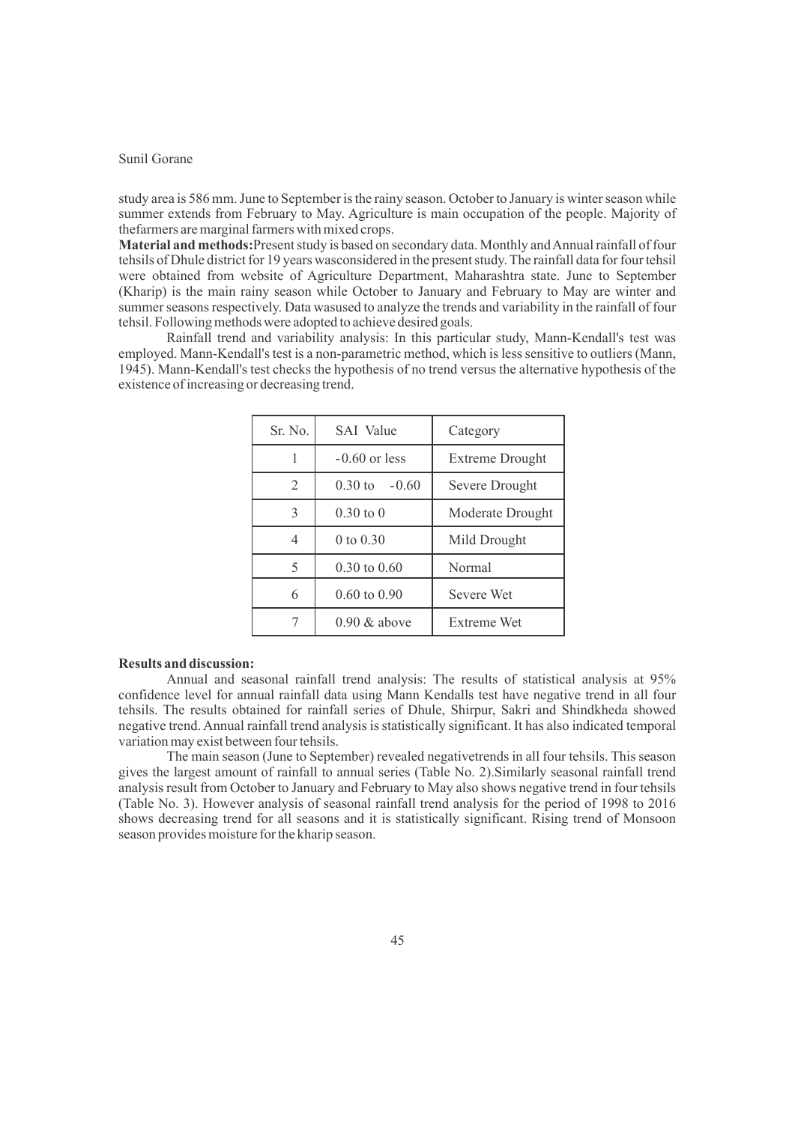study area is 586 mm. June to September is the rainy season. October to January is winter season while summer extends from February to May. Agriculture is main occupation of the people. Majority of thefarmers are marginal farmers with mixed crops.

**Material and methods:**Present study is based on secondary data. Monthly and Annual rainfall of four tehsils of Dhule district for 19 years wasconsidered in the present study. The rainfall data for four tehsil were obtained from website of Agriculture Department, Maharashtra state. June to September (Kharip) is the main rainy season while October to January and February to May are winter and summer seasons respectively. Data wasused to analyze the trends and variability in the rainfall of four tehsil. Following methods were adopted to achieve desired goals.

Rainfall trend and variability analysis: In this particular study, Mann-Kendall's test was employed. Mann-Kendall's test is a non-parametric method, which is less sensitive to outliers (Mann, 1945). Mann-Kendall's test checks the hypothesis of no trend versus the alternative hypothesis of the existence of increasing or decreasing trend.

| Sr. No.        | <b>SAI</b> Value        | Category               |  |  |
|----------------|-------------------------|------------------------|--|--|
| 1              | $-0.60$ or less         | <b>Extreme Drought</b> |  |  |
| $\overline{2}$ | $0.30$ to<br>$-0.60$    | Severe Drought         |  |  |
| 3              | $0.30 \text{ to } 0$    | Moderate Drought       |  |  |
| $\overline{4}$ | 0 to $0.30$             | Mild Drought           |  |  |
| 5              | $0.30 \text{ to } 0.60$ | Normal                 |  |  |
| 6              | $0.60 \text{ to } 0.90$ | <b>Severe Wet</b>      |  |  |
| 7              | $0.90 \&$ above         | Extreme Wet            |  |  |

### **Results and discussion:**

Annual and seasonal rainfall trend analysis: The results of statistical analysis at 95% confidence level for annual rainfall data using Mann Kendalls test have negative trend in all four tehsils. The results obtained for rainfall series of Dhule, Shirpur, Sakri and Shindkheda showed negative trend. Annual rainfall trend analysis is statistically significant. It has also indicated temporal variation may exist between four tehsils.

The main season (June to September) revealed negativetrends in all four tehsils. This season gives the largest amount of rainfall to annual series (Table No. 2).Similarly seasonal rainfall trend analysis result from October to January and February to May also shows negative trend in four tehsils (Table No. 3). However analysis of seasonal rainfall trend analysis for the period of 1998 to 2016 shows decreasing trend for all seasons and it is statistically significant. Rising trend of Monsoon season provides moisture for the kharip season.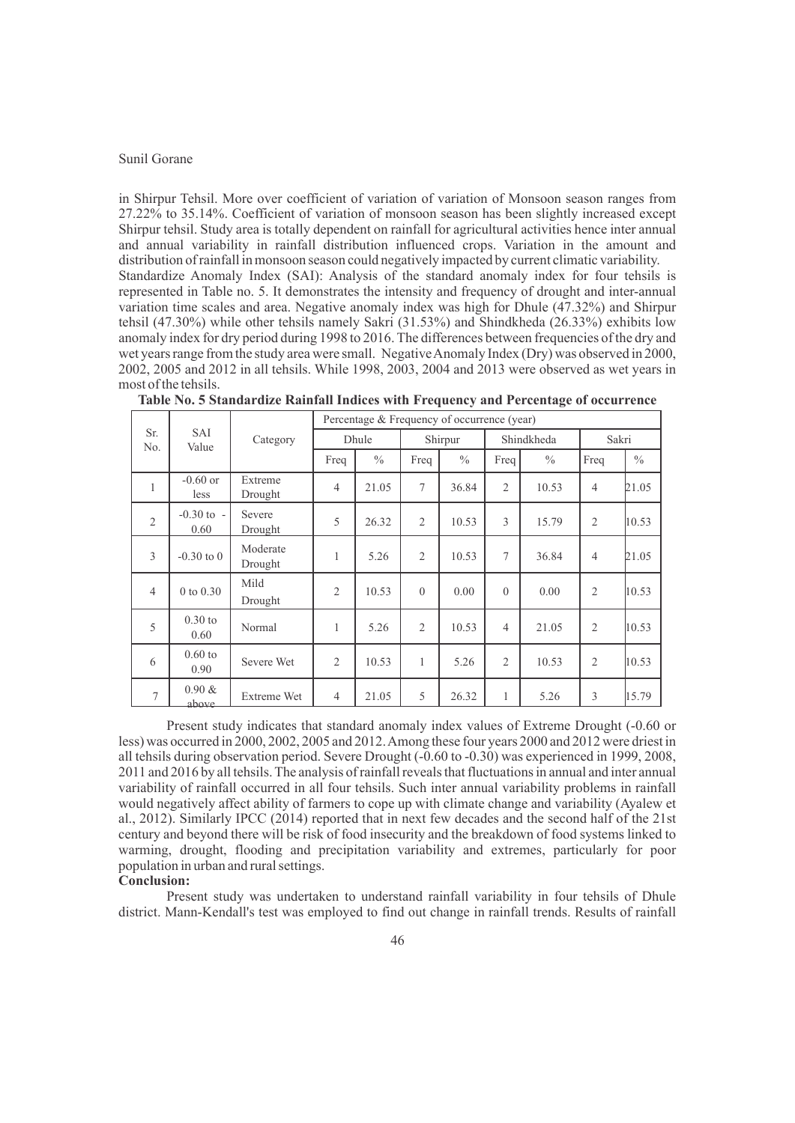in Shirpur Tehsil. More over coefficient of variation of variation of Monsoon season ranges from 27.22% to 35.14%. Coefficient of variation of monsoon season has been slightly increased except Shirpur tehsil. Study area is totally dependent on rainfall for agricultural activities hence inter annual and annual variability in rainfall distribution influenced crops. Variation in the amount and distribution of rainfall in monsoon season could negatively impacted by current climatic variability. Standardize Anomaly Index (SAI): Analysis of the standard anomaly index for four tehsils is represented in Table no. 5. It demonstrates the intensity and frequency of drought and inter-annual variation time scales and area. Negative anomaly index was high for Dhule (47.32%) and Shirpur tehsil (47.30%) while other tehsils namely Sakri (31.53%) and Shindkheda (26.33%) exhibits low anomaly index for dry period during 1998 to 2016. The differences between frequencies of the dry and wet years range from the study area were small. Negative Anomaly Index (Dry) was observed in 2000, 2002, 2005 and 2012 in all tehsils. While 1998, 2003, 2004 and 2013 were observed as wet years in most of the tehsils.

|                |                        | Category            | Percentage & Frequency of occurrence (year) |               |                |               |                |               |                |       |
|----------------|------------------------|---------------------|---------------------------------------------|---------------|----------------|---------------|----------------|---------------|----------------|-------|
| Sr.<br>No.     | <b>SAI</b><br>Value    |                     | Dhule                                       |               | Shirpur        |               | Shindkheda     |               | Sakri          |       |
|                |                        |                     | Freq                                        | $\frac{0}{0}$ | Freq           | $\frac{0}{0}$ | Freq           | $\frac{0}{0}$ | Freq           | $\%$  |
| 1              | $-0.60$ or<br>less     | Extreme<br>Drought  | $\overline{4}$                              | 21.05         | 7              | 36.84         | $\overline{2}$ | 10.53         | $\overline{4}$ | 21.05 |
| $\overline{2}$ | $-0.30$ to $-$<br>0.60 | Severe<br>Drought   | 5                                           | 26.32         | $\overline{2}$ | 10.53         | 3              | 15.79         | $\overline{2}$ | 10.53 |
| 3              | $-0.30$ to 0           | Moderate<br>Drought | 1                                           | 5.26          | $\overline{2}$ | 10.53         | $\tau$         | 36.84         | $\overline{4}$ | 21.05 |
| $\overline{4}$ | $0$ to $0.30$          | Mild<br>Drought     | $\overline{2}$                              | 10.53         | $\theta$       | 0.00          | $\theta$       | 0.00          | $\overline{2}$ | 10.53 |
| 5              | $0.30$ to<br>0.60      | Normal              | 1                                           | 5.26          | 2              | 10.53         | $\overline{4}$ | 21.05         | $\overline{2}$ | 10.53 |
| 6              | $0.60$ to<br>0.90      | Severe Wet          | $\overline{c}$                              | 10.53         | $\mathbf{1}$   | 5.26          | $\overline{c}$ | 10.53         | 2              | 10.53 |
| $\tau$         | $0.90 \&$<br>ahove     | Extreme Wet         | $\overline{4}$                              | 21.05         | 5              | 26.32         | 1              | 5.26          | 3              | 15.79 |

**Table No. 5 Standardize Rainfall Indices with Frequency and Percentage of occurrence**

Present study indicates that standard anomaly index values of Extreme Drought (-0.60 or less) was occurred in 2000, 2002, 2005 and 2012. Among these four years 2000 and 2012 were driest in all tehsils during observation period. Severe Drought (-0.60 to -0.30) was experienced in 1999, 2008, 2011 and 2016 by all tehsils. The analysis of rainfall reveals that fluctuations in annual and inter annual variability of rainfall occurred in all four tehsils. Such inter annual variability problems in rainfall would negatively affect ability of farmers to cope up with climate change and variability (Ayalew et al., 2012). Similarly IPCC (2014) reported that in next few decades and the second half of the 21st century and beyond there will be risk of food insecurity and the breakdown of food systems linked to warming, drought, flooding and precipitation variability and extremes, particularly for poor population in urban and rural settings.

## **Conclusion:**

Present study was undertaken to understand rainfall variability in four tehsils of Dhule district. Mann-Kendall's test was employed to find out change in rainfall trends. Results of rainfall